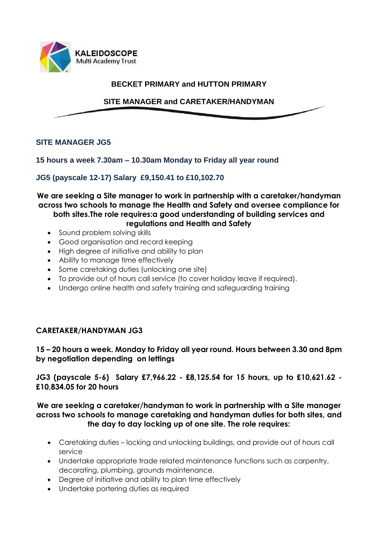

### **BECKET PRIMARY and HUTTON PRIMARY**

# **SITE MANAGER and CARETAKER/HANDYMAN**

#### **SITE MANAGER JG5**

#### **15 hours a week 7.30am – 10.30am Monday to Friday all year round**

### **JG5 (payscale 12-17) Salary £9,150.41 to £10,102.70**

# **We are seeking a Site manager to work in partnership with a caretaker/handyman across two schools to manage the Health and Safety and oversee compliance for both sites.The role requires:a good understanding of building services and**

#### **regulations and Health and Safety**

- Sound problem solving skills
- Good organisation and record keeping
- High degree of initiative and ability to plan
- Ability to manage time effectively
- Some caretaking duties (unlocking one site)
- To provide out of hours call service (to cover holiday leave if required).
- Undergo online health and safety training and safeguarding training

## **CARETAKER/HANDYMAN JG3**

## **15 – 20 hours a week. Monday to Friday all year round. Hours between 3.30 and 8pm by negotiation depending on lettings**

## **JG3 (payscale 5-6) Salary £7,966.22 - £8,125.54 for 15 hours, up to £10,621.62 - £10,834.05 for 20 hours**

### **We are seeking a caretaker/handyman to work in partnership with a Site manager across two schools to manage caretaking and handyman duties for both sites, and the day to day locking up of one site. The role requires:**

- Caretaking duties locking and unlocking buildings, and provide out of hours call service
- Undertake appropriate trade related maintenance functions such as carpentry, decorating, plumbing, grounds maintenance.
- Degree of initiative and ability to plan time effectively
- Undertake portering duties as required